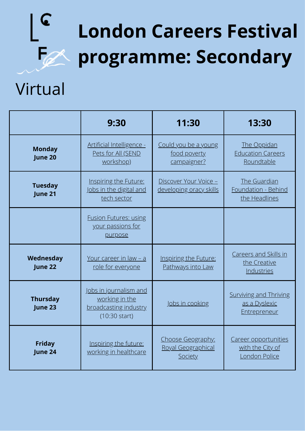## **London Careers Festival programme: Secondary**

### Virtual

C

|                            | 9:30                                                                                         | 11:30                                                     | 13:30                                                                 |
|----------------------------|----------------------------------------------------------------------------------------------|-----------------------------------------------------------|-----------------------------------------------------------------------|
| <b>Monday</b><br>June 20   | Artificial Intelligence -<br>Pets for All (SEND<br>workshop)                                 | Could you be a young<br>food poverty<br>campaigner?       | The Oppidan<br><b>Education Careers</b><br>Roundtable                 |
| <b>Tuesday</b><br>June 21  | Inspiring the Future:<br>Jobs in the digital and<br>tech sector                              | Discover Your Voice -<br>developing oracy skills          | The Guardian<br>Foundation - Behind<br>the Headlines                  |
|                            | <b>Fusion Futures: using</b><br>your passions for<br>purpose                                 |                                                           |                                                                       |
| Wednesday<br>June 22       | Your career in law - a<br>role for everyone                                                  | Inspiring the Future:<br>Pathways into Law                | Careers and Skills in<br>the Creative<br>Industries                   |
| <b>Thursday</b><br>June 23 | Jobs in journalism and<br>working in the<br>broadcasting industry<br>$(10:30 \text{ start})$ | Jobs in cooking                                           | <b>Surviving and Thriving</b><br>as a Dyslexic<br><b>Entrepreneur</b> |
| <b>Friday</b><br>June 24   | Inspiring the future:<br>working in healthcare                                               | Choose Geography:<br>Royal Geographical<br><b>Society</b> | Career opportunities<br>with the City of<br>London Police             |